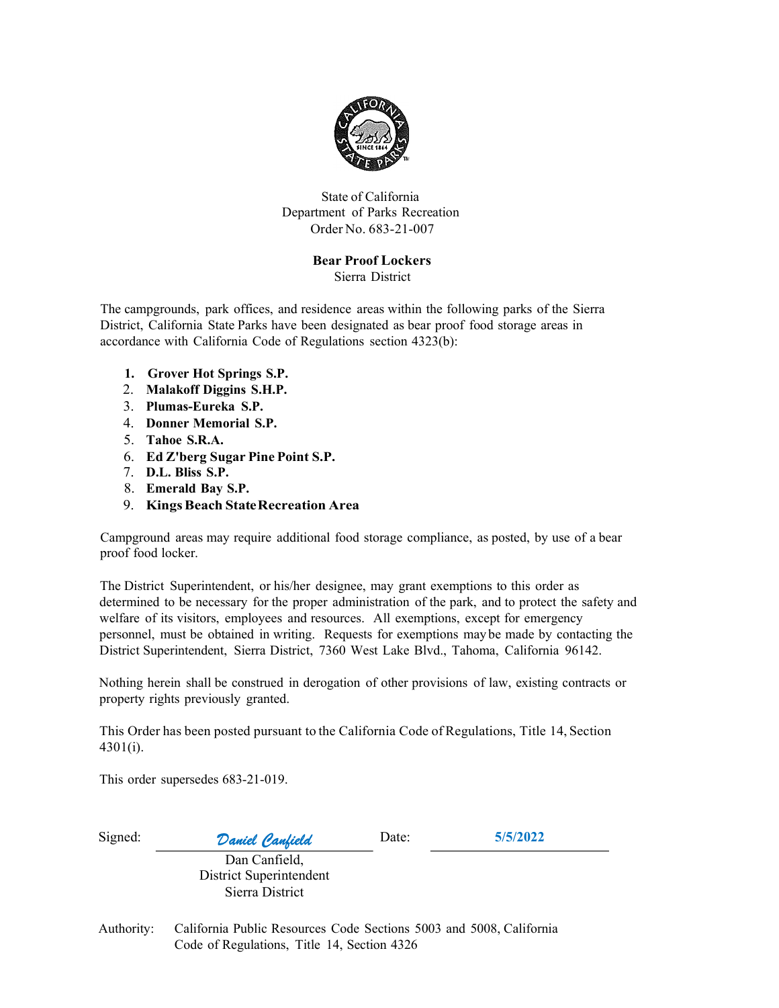

State of California Department of Parks Recreation Order No. 683-21-007

## Bear Proof Lockers

Sierra District

The campgrounds, park offices, and residence areas within the following parks of the Sierra District, California State Parks have been designated as bear proof food storage areas in accordance with California Code of Regulations section 4323(b):

- 1. Grover Hot Springs S.P.
- 2. Malakoff Diggins S.H.P.
- 3. Plumas-Eureka S.P.
- 4. Donner Memorial S.P.
- 5. Tahoe S.R.A.
- 6. Ed Z'berg Sugar Pine Point S.P.
- 7. D.L. Bliss S.P.
- 8. Emerald Bay S.P.
- 9. Kings Beach State Recreation Area

Campground areas may require additional food storage compliance, as posted, by use of a bear proof food locker.

The District Superintendent, or his/her designee, may grant exemptions to this order as determined to be necessary for the proper administration of the park, and to protect the safety and welfare of its visitors, employees and resources. All exemptions, except for emergency personnel, must be obtained in writing. Requests for exemptions may be made by contacting the District Superintendent, Sierra District, 7360 West Lake Blvd., Tahoma, California 96142.

Nothing herein shall be construed in derogation of other provisions of law, existing contracts or property rights previously granted.

This Order has been posted pursuant to the California Code of Regulations, Title 14, Section 4301(i).

This order supersedes 683-21-019.

| Signed:    | Daniel Canfield                                                                                                    | Date: | 5/5/2022 |
|------------|--------------------------------------------------------------------------------------------------------------------|-------|----------|
|            | Dan Canfield,<br>District Superintendent<br>Sierra District                                                        |       |          |
| Authority: | California Public Resources Code Sections 5003 and 5008, California<br>Code of Regulations, Title 14, Section 4326 |       |          |